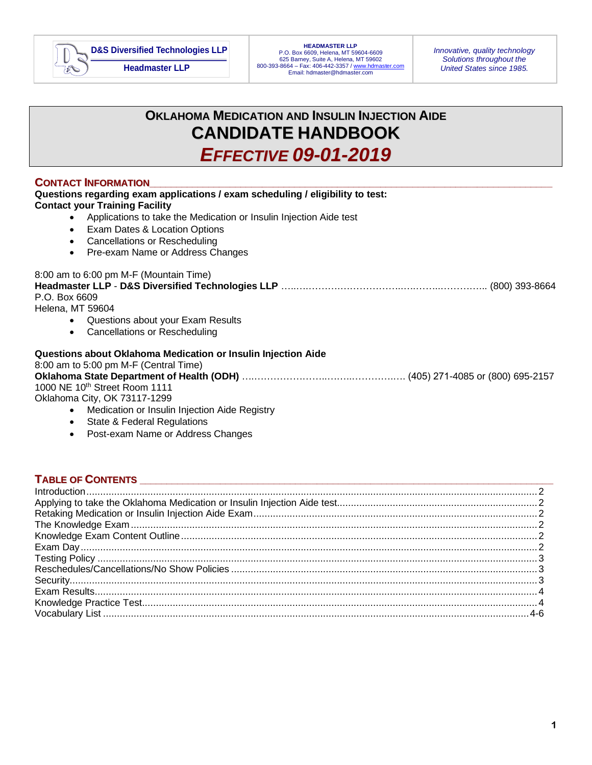

# **OKLAHOMA MEDICATION AND INSULIN INJECTION AIDE CANDIDATE HANDBOOK** *EFFECTIVE 09-01-2019*

# $\blacksquare$ **CONTACT INFORMATION**

| <b>Contact your Training Facility</b>    | Questions regarding exam applications / exam scheduling / eligibility to test: |  |
|------------------------------------------|--------------------------------------------------------------------------------|--|
| $\bullet$                                | Applications to take the Medication or Insulin Injection Aide test             |  |
| $\bullet$                                | Exam Dates & Location Options                                                  |  |
| $\bullet$                                | <b>Cancellations or Rescheduling</b>                                           |  |
| $\bullet$                                | Pre-exam Name or Address Changes                                               |  |
| 8:00 am to 6:00 pm M-F (Mountain Time)   |                                                                                |  |
|                                          |                                                                                |  |
| P.O. Box 6609                            |                                                                                |  |
| Helena, MT 59604                         |                                                                                |  |
| $\bullet$                                | Questions about your Exam Results                                              |  |
| $\bullet$                                | <b>Cancellations or Rescheduling</b>                                           |  |
|                                          | Questions about Oklahoma Medication or Insulin Injection Aide                  |  |
| 8:00 am to 5:00 pm M-F (Central Time)    |                                                                                |  |
|                                          |                                                                                |  |
| 1000 NE 10th Street Room 1111            |                                                                                |  |
| Oklahoma City, OK 73117-1299             |                                                                                |  |
|                                          | • Medication or Insulin Injection Aide Registry                                |  |
| State & Federal Regulations<br>$\bullet$ |                                                                                |  |
|                                          |                                                                                |  |

• Post-exam Name or Address Changes

# **TABLE OF CONTENTS \_\_\_\_\_\_\_\_\_\_\_\_\_\_\_\_\_\_\_\_\_\_\_\_\_\_\_\_\_\_\_\_\_\_\_\_\_\_\_\_\_\_\_\_\_\_\_\_\_\_\_\_\_\_\_\_\_\_\_\_\_\_\_\_\_\_\_\_\_\_\_\_\_\_\_\_\_**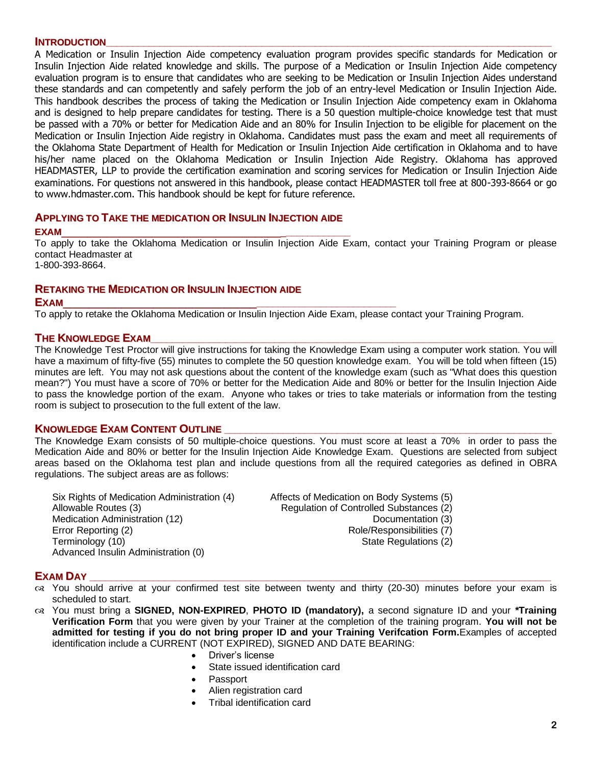### **INTRODUCTION**

A Medication or Insulin Injection Aide competency evaluation program provides specific standards for Medication or Insulin Injection Aide related knowledge and skills. The purpose of a Medication or Insulin Injection Aide competency evaluation program is to ensure that candidates who are seeking to be Medication or Insulin Injection Aides understand these standards and can competently and safely perform the job of an entry-level Medication or Insulin Injection Aide. This handbook describes the process of taking the Medication or Insulin Injection Aide competency exam in Oklahoma and is designed to help prepare candidates for testing. There is a 50 question multiple-choice knowledge test that must be passed with a 70% or better for Medication Aide and an 80% for Insulin Injection to be eligible for placement on the Medication or Insulin Injection Aide registry in Oklahoma. Candidates must pass the exam and meet all requirements of the Oklahoma State Department of Health for Medication or Insulin Injection Aide certification in Oklahoma and to have his/her name placed on the Oklahoma Medication or Insulin Injection Aide Registry. Oklahoma has approved HEADMASTER, LLP to provide the certification examination and scoring services for Medication or Insulin Injection Aide examinations. For questions not answered in this handbook, please contact HEADMASTER toll free at 800-393-8664 or go to www.hdmaster.com. This handbook should be kept for future reference.

# **APPLYING TO TAKE THE MEDICATION OR INSULIN INJECTION AIDE**

**EXAM**\_\_\_\_\_\_\_\_\_\_\_\_\_\_\_\_\_\_\_\_\_\_\_\_\_\_\_\_\_\_\_\_\_\_\_**\_\_\_\_\_\_\_\_\_\_\_\_**

To apply to take the Oklahoma Medication or Insulin Injection Aide Exam, contact your Training Program or please contact Headmaster at

1-800-393-8664.

# **RETAKING THE MEDICATION OR INSULIN INJECTION AIDE**

# **EXAM**\_\_\_\_\_\_\_\_\_\_\_\_\_\_\_\_\_\_\_\_\_\_\_\_\_\_\_\_\_\_**\_\_\_\_\_\_\_\_\_\_\_\_\_\_\_\_\_\_\_\_\_\_\_\_\_\_**

To apply to retake the Oklahoma Medication or Insulin Injection Aide Exam, please contact your Training Program.

# **THE KNOWLEDGE EXAM**

The Knowledge Test Proctor will give instructions for taking the Knowledge Exam using a computer work station. You will have a maximum of fifty-five (55) minutes to complete the 50 question knowledge exam. You will be told when fifteen (15) minutes are left. You may not ask questions about the content of the knowledge exam (such as "What does this question mean?") You must have a score of 70% or better for the Medication Aide and 80% or better for the Insulin Injection Aide to pass the knowledge portion of the exam. Anyone who takes or tries to take materials or information from the testing room is subject to prosecution to the full extent of the law.

# **KNOWLEDGE EXAM CONTENT OUTLINE \_\_\_\_\_\_\_\_\_\_\_\_\_\_\_\_\_\_\_\_\_\_\_\_\_\_\_\_\_\_\_\_\_\_\_\_\_\_\_\_\_\_\_\_\_\_\_\_\_\_\_\_\_\_\_\_\_\_\_\_\_**

The Knowledge Exam consists of 50 multiple-choice questions. You must score at least a 70% in order to pass the Medication Aide and 80% or better for the Insulin Injection Aide Knowledge Exam. Questions are selected from subject areas based on the Oklahoma test plan and include questions from all the required categories as defined in OBRA regulations. The subject areas are as follows:

Six Rights of Medication Administration (4) Affects of Medication on Body Systems (5) Allowable Routes (3) Regulation of Controlled Substances (2) Medication Administration (12) Medication (3) Documentation (3) Error Reporting (2) **Role** Responsibilities (7) Terminology (10) **State Regulations (2)** State Regulations (2) Advanced Insulin Administration (0)

# **EXAM DAY \_\_\_\_\_\_\_\_\_\_\_\_\_\_\_\_\_\_\_\_\_\_\_\_\_\_\_\_\_\_\_\_\_\_\_\_\_\_\_\_\_\_\_\_\_\_\_\_\_\_\_\_\_\_\_\_\_\_\_\_\_\_\_\_\_\_\_\_\_\_\_\_\_\_\_\_\_\_\_\_\_\_\_\_\_\_**

- You should arrive at your confirmed test site between twenty and thirty (20-30) minutes before your exam is scheduled to start.
- You must bring a **SIGNED, NON-EXPIRED**, **PHOTO ID (mandatory),** a second signature ID and your **\*Training Verification Form** that you were given by your Trainer at the completion of the training program. **You will not be admitted for testing if you do not bring proper ID and your Training Verifcation Form.**Examples of accepted identification include a CURRENT (NOT EXPIRED), SIGNED AND DATE BEARING:
	- Driver's license
	- State issued identification card
	- Passport
	- Alien registration card
	- Tribal identification card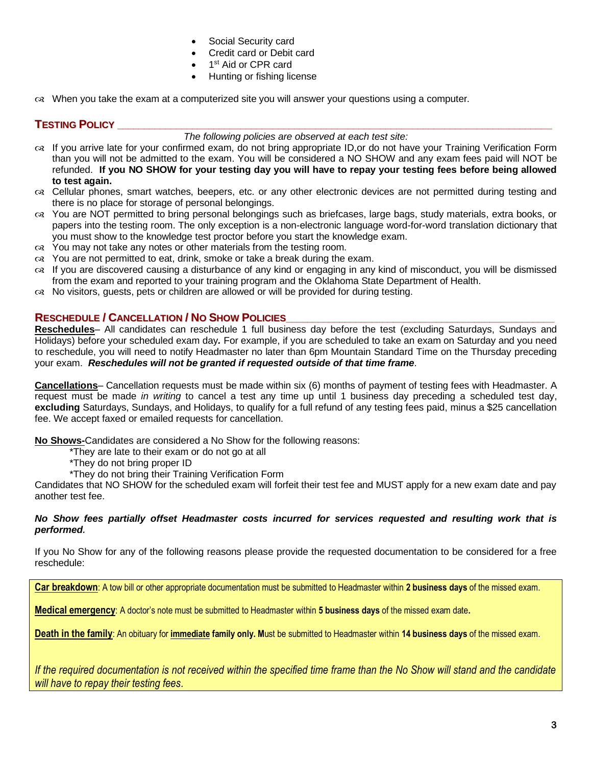- Social Security card
- Credit card or Debit card
- 1<sup>st</sup> Aid or CPR card
- Hunting or fishing license
- When you take the exam at a computerized site you will answer your questions using a computer.

# **TESTING POLICY \_\_\_\_\_\_\_\_\_\_\_\_\_\_\_\_\_\_\_\_\_\_\_\_\_\_\_\_\_\_\_\_\_\_\_\_\_\_\_\_\_\_\_\_\_\_\_\_\_\_\_\_\_\_\_\_\_\_\_\_\_\_\_\_\_\_\_\_\_\_\_\_\_\_\_\_\_\_\_\_\_**

## *The following policies are observed at each test site:*

- If you arrive late for your confirmed exam, do not bring appropriate ID,or do not have your Training Verification Form than you will not be admitted to the exam. You will be considered a NO SHOW and any exam fees paid will NOT be refunded. **If you NO SHOW for your testing day you will have to repay your testing fees before being allowed to test again.**
- Cellular phones, smart watches, beepers, etc. or any other electronic devices are not permitted during testing and there is no place for storage of personal belongings.
- You are NOT permitted to bring personal belongings such as briefcases, large bags, study materials, extra books, or papers into the testing room. The only exception is a non-electronic language word-for-word translation dictionary that you must show to the knowledge test proctor before you start the knowledge exam.
- $\infty$  You may not take any notes or other materials from the testing room.
- $\infty$  You are not permitted to eat, drink, smoke or take a break during the exam.
- If you are discovered causing a disturbance of any kind or engaging in any kind of misconduct, you will be dismissed from the exam and reported to your training program and the Oklahoma State Department of Health.
- No visitors, guests, pets or children are allowed or will be provided for during testing.

# **RESCHEDULE / CANCELLATION / NO SHOW POLICIES\_\_\_\_\_\_\_\_\_\_\_\_\_\_\_\_\_\_\_\_\_\_\_\_\_\_\_\_\_\_\_\_\_\_\_\_\_\_\_\_\_\_\_\_\_\_\_\_\_\_**

**Reschedules**– All candidates can reschedule 1 full business day before the test (excluding Saturdays, Sundays and Holidays) before your scheduled exam day*.* For example, if you are scheduled to take an exam on Saturday and you need to reschedule, you will need to notify Headmaster no later than 6pm Mountain Standard Time on the Thursday preceding your exam. *Reschedules will not be granted if requested outside of that time frame*.

**Cancellations**– Cancellation requests must be made within six (6) months of payment of testing fees with Headmaster. A request must be made *in writing* to cancel a test any time up until 1 business day preceding a scheduled test day, **excluding** Saturdays, Sundays, and Holidays, to qualify for a full refund of any testing fees paid, minus a \$25 cancellation fee. We accept faxed or emailed requests for cancellation.

**No Shows-**Candidates are considered a No Show for the following reasons:

\*They are late to their exam or do not go at all

\*They do not bring proper ID

\*They do not bring their Training Verification Form

Candidates that NO SHOW for the scheduled exam will forfeit their test fee and MUST apply for a new exam date and pay another test fee.

### *No Show fees partially offset Headmaster costs incurred for services requested and resulting work that is performed.*

If you No Show for any of the following reasons please provide the requested documentation to be considered for a free reschedule:

**Car breakdown**: A tow bill or other appropriate documentation must be submitted to Headmaster within **2 business days** of the missed exam.

**Medical emergency**: A doctor's note must be submitted to Headmaster within **5 business days** of the missed exam date**.** 

**Death in the family**: An obituary for **immediate family only. M**ust be submitted to Headmaster within **14 business days** of the missed exam.

*If the required documentation is not received within the specified time frame than the No Show will stand and the candidate will have to repay their testing fees.*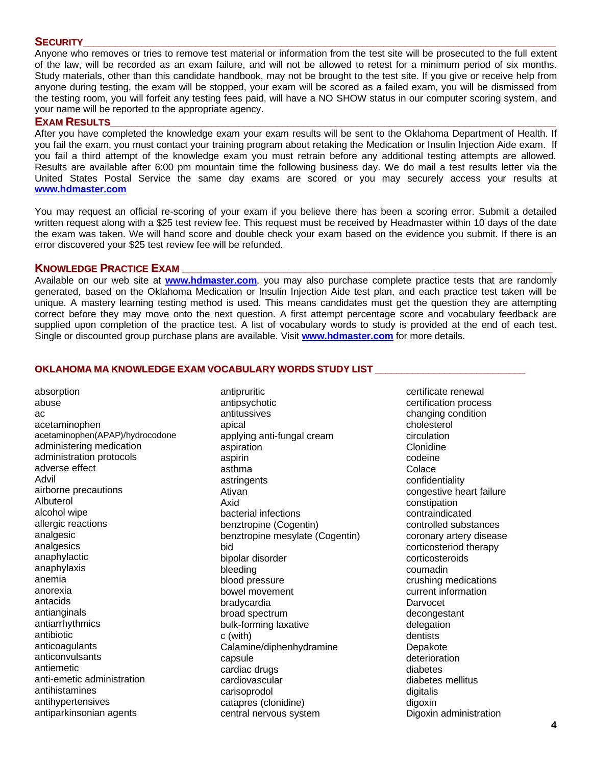# **SECURITY\_\_\_\_\_\_\_\_\_\_\_\_\_\_\_\_\_\_\_\_\_\_\_\_\_\_\_\_\_\_\_\_\_\_\_\_\_\_\_\_\_\_\_\_\_\_\_\_\_\_\_\_\_\_\_\_\_\_\_\_\_\_\_\_\_\_\_\_\_\_\_\_\_\_\_\_\_\_\_\_\_\_\_\_\_\_\_\_**

Anyone who removes or tries to remove test material or information from the test site will be prosecuted to the full extent of the law, will be recorded as an exam failure, and will not be allowed to retest for a minimum period of six months. Study materials, other than this candidate handbook, may not be brought to the test site. If you give or receive help from anyone during testing, the exam will be stopped, your exam will be scored as a failed exam, you will be dismissed from the testing room, you will forfeit any testing fees paid, will have a NO SHOW status in our computer scoring system, and your name will be reported to the appropriate agency.

### **EXAM** RESULTS

After you have completed the knowledge exam your exam results will be sent to the Oklahoma Department of Health. If you fail the exam, you must contact your training program about retaking the Medication or Insulin Injection Aide exam. If you fail a third attempt of the knowledge exam you must retrain before any additional testing attempts are allowed. Results are available after 6:00 pm mountain time the following business day. We do mail a test results letter via the United States Postal Service the same day exams are scored or you may securely access your results at **[www.hdmaster.com](http://www.hdmaster.com/)**

You may request an official re-scoring of your exam if you believe there has been a scoring error. Submit a detailed written request along with a \$25 test review fee. This request must be received by Headmaster within 10 days of the date the exam was taken. We will hand score and double check your exam based on the evidence you submit. If there is an error discovered your \$25 test review fee will be refunded.

### **KNOWLEDGE PRACTICE EXAM \_\_\_\_\_\_\_\_\_\_\_\_\_\_\_\_\_\_\_\_\_\_\_\_\_\_\_\_\_\_\_\_\_\_\_\_\_\_\_\_\_\_\_\_\_\_\_\_\_\_\_\_\_\_\_\_\_\_\_\_\_\_\_\_\_\_\_\_\_**

Available on our web site at **[www.hdmaster.com](http://www.hdmaster.com/)**, you may also purchase complete practice tests that are randomly generated, based on the Oklahoma Medication or Insulin Injection Aide test plan, and each practice test taken will be unique. A mastery learning testing method is used. This means candidates must get the question they are attempting correct before they may move onto the next question. A first attempt percentage score and vocabulary feedback are supplied upon completion of the practice test. A list of vocabulary words to study is provided at the end of each test. Single or discounted group purchase plans are available. Visit **[www.hdmaster.com](http://www.hdmaster.com/)** for more details.

# **OKLAHOMA MA KNOWLEDGE EXAM VOCABULARY WORDS STUDY LIST \_\_\_\_\_\_\_\_\_\_\_\_\_\_\_\_\_\_\_\_\_\_\_\_\_\_\_\_**

absorption abuse ac acetaminophen acetaminophen(APAP)/hydrocodone administering medication administration protocols adverse effect Advil airborne precautions Albuterol alcohol wipe allergic reactions analgesic analgesics anaphylactic anaphylaxis anemia anorexia antacids antianginals antiarrhythmics antibiotic anticoagulants anticonvulsants antiemetic anti-emetic administration antihistamines antihypertensives antiparkinsonian agents

antipruritic antipsychotic antitussives apical applying anti-fungal cream aspiration aspirin asthma astringents Ativan Axid bacterial infections benztropine (Cogentin) benztropine mesylate (Cogentin) bid bipolar disorder bleeding blood pressure bowel movement bradycardia broad spectrum bulk-forming laxative c (with) Calamine/diphenhydramine capsule cardiac drugs cardiovascular carisoprodol catapres (clonidine) central nervous system

certificate renewal certification process changing condition cholesterol circulation Clonidine codeine **Colace** confidentiality congestive heart failure constipation contraindicated controlled substances coronary artery disease corticosteriod therapy corticosteroids coumadin crushing medications current information **Darvocet** decongestant delegation dentists Depakote deterioration diabetes diabetes mellitus digitalis digoxin Digoxin administration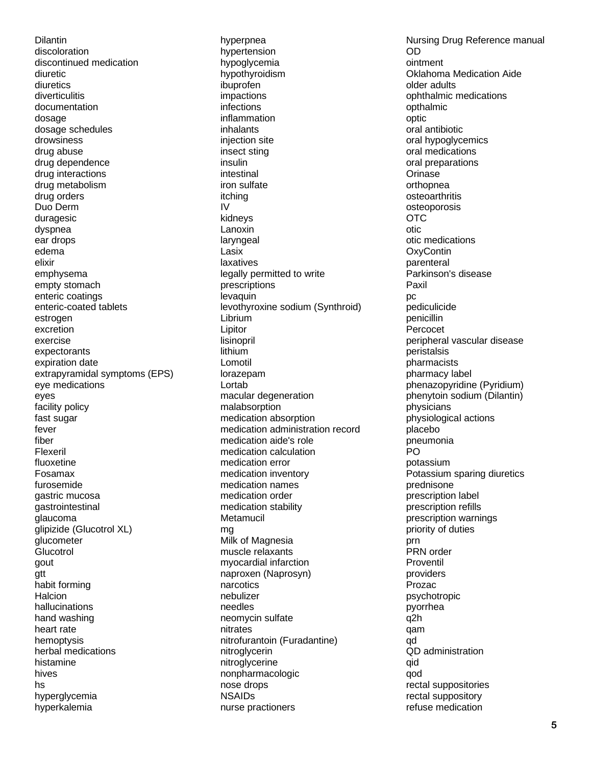Dilantin discoloration discontinued medication diuretic diuretics diverticulitis documentation dosage dosage schedules drowsiness drug abuse drug dependence drug interactions drug metabolism drug orders Duo Derm duragesic dyspnea ear drops edema elixir emphysema empty stomach enteric coatings enteric-coated tablets estrogen excretion exercise expectorants expiration date extrapyramidal symptoms (EPS) eye medications eyes facility policy fast sugar fever fiber Flexeril fluoxetine Fosamax furosemide gastric mucosa gastrointestinal glaucoma glipizide (Glucotrol XL) glucometer **Glucotrol** gout gtt habit forming **Halcion** hallucinations hand washing heart rate hemoptysis herbal medications histamine hives hs hyperglycemia hyperkalemia

hyperpnea hypertension hypoglycemia hypothyroidism ibuprofen impactions infections inflammation inhalants injection site insect sting insulin intestinal iron sulfate itching IV kidneys Lanoxin laryngeal Lasix laxatives legally permitted to write prescriptions levaquin levothyroxine sodium (Synthroid) Librium Lipitor lisinopril lithium Lomotil lorazepam Lortab macular degeneration malabsorption medication absorption medication administration record medication aide's role medication calculation medication error medication inventory medication names medication order medication stability **Metamucil** mg Milk of Magnesia muscle relaxants myocardial infarction naproxen (Naprosyn) narcotics nebulizer needles neomycin sulfate nitrates nitrofurantoin (Furadantine) nitroglycerin nitroglycerine nonpharmacologic nose drops NSAIDs nurse practioners

Nursing Drug Reference manual OD ointment Oklahoma Medication Aide older adults ophthalmic medications opthalmic optic oral antibiotic oral hypoglycemics oral medications oral preparations **Orinase** orthopnea osteoarthritis osteoporosis OTC otic otic medications **OxyContin** parenteral Parkinson's disease Paxil pc pediculicide penicillin Percocet peripheral vascular disease peristalsis pharmacists pharmacy label phenazopyridine (Pyridium) phenytoin sodium (Dilantin) physicians physiological actions placebo pneumonia PO potassium Potassium sparing diuretics prednisone prescription label prescription refills prescription warnings priority of duties prn PRN order Proventil providers Prozac psychotropic pyorrhea q2h qam qd QD administration qid qod rectal suppositories rectal suppository refuse medication